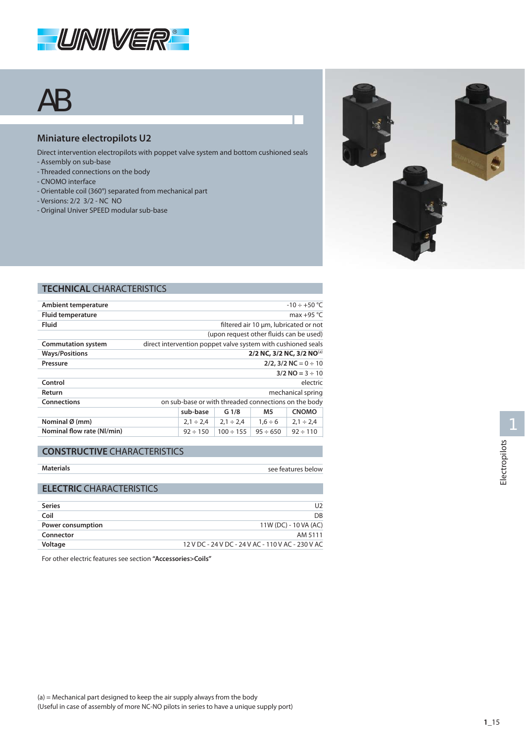

# AB

## **Miniature electropilots U2**

- Direct intervention electropilots with poppet valve system and bottom cushioned seals
- Assembly on sub-base
- Threaded connections on the body
- CNOMO interface
- Orientable coil (360°) separated from mechanical part
- Versions: 2/2 3/2 NC NO
- Original Univer SPEED modular sub-base



#### **TECHNICAL CHARACTERISTICS**

|                                                      |                |               | $-10 \div +50$ °C                                            |  |  |
|------------------------------------------------------|----------------|---------------|--------------------------------------------------------------|--|--|
| max $+95$ °C                                         |                |               |                                                              |  |  |
| filtered air 10 um, lubricated or not                |                |               |                                                              |  |  |
| (upon request other fluids can be used)              |                |               |                                                              |  |  |
|                                                      |                |               |                                                              |  |  |
| 2/2 NC, 3/2 NC, 3/2 NO(a)                            |                |               |                                                              |  |  |
| $2/2$ , 3/2 NC = 0 ÷ 10                              |                |               |                                                              |  |  |
| $3/2$ NO = 3 $\div$ 10                               |                |               |                                                              |  |  |
| electric                                             |                |               |                                                              |  |  |
|                                                      |                |               | mechanical spring                                            |  |  |
| on sub-base or with threaded connections on the body |                |               |                                                              |  |  |
| sub-base<br><b>CNOMO</b><br>G <sub>1/8</sub><br>M5   |                |               |                                                              |  |  |
| $2,1 \div 2,4$                                       | $2.1 \div 2.4$ | $1.6 \div 6$  | $2,1 \div 2,4$                                               |  |  |
| $92 \div 150$                                        | $100 \div 155$ | $95 \div 650$ | $92 \div 110$                                                |  |  |
|                                                      |                |               | direct intervention poppet valve system with cushioned seals |  |  |

#### **CONSTRUCTIVE CHARACTERISTICS**

| <b>Materials</b> |  |
|------------------|--|
|                  |  |

see features below

## **ELECTRIC CHARACTERISTICS**

| <b>Series</b>     | U2                                                |
|-------------------|---------------------------------------------------|
| Coil              | DB                                                |
| Power consumption | 11W (DC) - 10 VA (AC)                             |
| Connector         | AM 5111                                           |
| Voltage           | 12 V DC - 24 V DC - 24 V AC - 110 V AC - 230 V AC |
|                   |                                                   |

For other electric features see section **"Accessories>Coils"**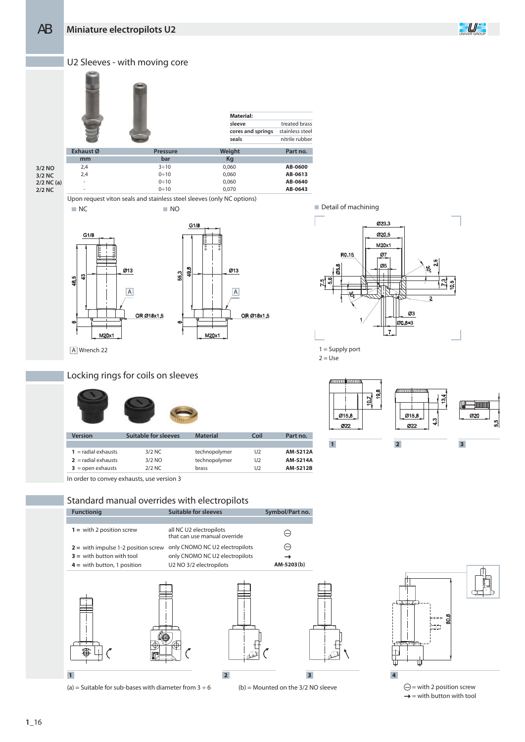



**2/2 NC**

-

Upon request viton seals and stainless steel sleeves (only NC options) NC NO NO DETAIL OF THE MELTIC THE MELTIC THE MELTIC THE MELTIC THE MELTIC THE MELTIC THE MELTIC THE MELTIC THE MELTIC THE MELTIC THE MELTIC THE MELTIC THE MELTIC THE MELTIC THE MELTIC THE MELTIC THE MELTIC THE MELTIC THE





 $1 =$  Supply port  $2 =$  Use

**Part no. AM-5212A AM-5214A AM-5212B**

**Coil**  $\overline{U}$  $U<sub>2</sub>$  $\overline{U}$ 



In order to convey exhausts, use version 3

**Version Suitable for sleeves**

**1** = radial exhausts **2** = radial exhausts  $3 =$  open exhausts

Locking rings for coils on sleeves

Standard manual overrides with electropilots

3/2 NC 3/2 NO 2/2 NC



**Material**

technopolymer technopolymer brass

(a) = Suitable for sub-bases with diameter from  $3 \div 6$ 



(b) = Mounted on the 3/2 NO sleeve



 $\bigodot$  = with 2 position screw  $\rightarrow$  = with button with tool

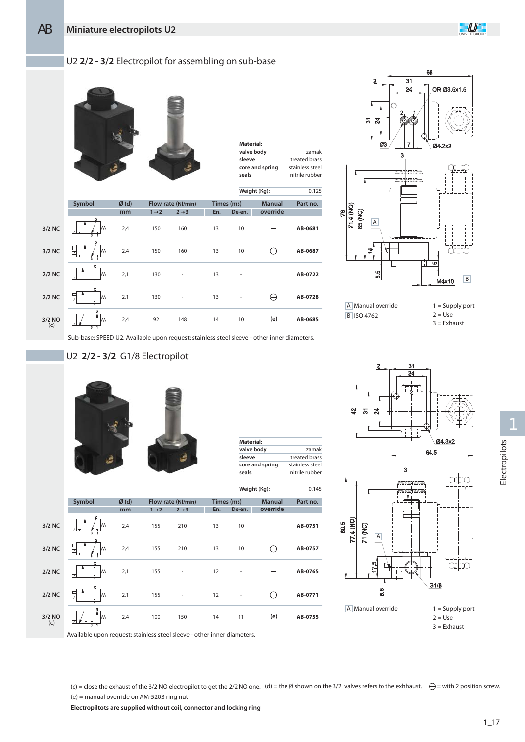### U2 **2/2 - 3/2** Electropilot for assembling on sub-base



| Material:       |                 |
|-----------------|-----------------|
| valve body      | zamak           |
| sleeve          | treated brass   |
| core and spring | stainless steel |
| seals           | nitrile rubber  |

 $0.125$ 

**Weight (Kg):**

|               |                               |      |                   |                          |            |                          | weight (Kg):  | U, I ZJ  |
|---------------|-------------------------------|------|-------------------|--------------------------|------------|--------------------------|---------------|----------|
|               | Symbol                        | Ø(d) |                   | Flow rate (NI/min)       | Times (ms) |                          | <b>Manual</b> | Part no. |
|               |                               | mm   | $1 \rightarrow 2$ | $2 \rightarrow 3$        | En.        | De-en.                   | override      |          |
| 3/2 NC        | M٧<br>☑<br>$\mathbf{r}$<br>T. | 2,4  | 150               | 160                      | 13         | 10                       |               | AB-0681  |
| 3/2 NC        | 豆<br>M٧<br>T.<br>ŝ            | 2,4  | 150               | 160                      | 13         | 10                       | ⊖             | AB-0687  |
| $2/2$ NC      | $\mathbf{z}$<br>M٧<br>17      | 2,1  | 130               | $\overline{\phantom{a}}$ | 13         | $\overline{a}$           |               | AB-0722  |
| $2/2$ NC      | 2<br>뮨<br>M٧                  | 2,1  | 130               | $\overline{\phantom{0}}$ | 13         | $\overline{\phantom{a}}$ | ⊖             | AB-0728  |
| 3/2 NO<br>(c) | 2<br>M٨<br>7<br>ᆦ             | 2,4  | 92                | 148                      | 14         | 10                       | (e)           | AB-0685  |



Sub-base: SPEED U2. Available upon request: stainless steel sleeve - other inner diameters.

## U2 **2/2 - 3/2** G1/8 Electropilot



| Material:       |                 |
|-----------------|-----------------|
| valve body      | zamak           |
| sleeve          | treated brass   |
| core and spring | stainless steel |
| seals           | nitrile rubber  |

 $9.5$ 

|               |                                             |         |                   |                          |            |                          | Weight (Kg):  | 0,145    |
|---------------|---------------------------------------------|---------|-------------------|--------------------------|------------|--------------------------|---------------|----------|
|               | Symbol                                      | $Ø$ (d) |                   | Flow rate (NI/min)       | Times (ms) |                          | <b>Manual</b> | Part no. |
|               |                                             | mm      | $1 \rightarrow 2$ | $2 \rightarrow 3$        | En.        | De-en.                   | override      |          |
| 3/2 NC        | M٨<br>171<br>$\overline{1}$<br>$\mathbf{T}$ | 2,4     | 155               | 210                      | 13         | 10                       |               | AB-0751  |
| 3/2 NC        | 듄<br>M٨<br>Ŧ                                | 2,4     | 155               | 210                      | 13         | 10                       | Θ             | AB-0757  |
| $2/2$ NC      | $\overline{\mathbf{z}}$<br>M٨<br>17         | 2,1     | 155               | $\overline{\phantom{a}}$ | 12         | $\overline{\phantom{a}}$ |               | AB-0765  |
| $2/2$ NC      | $\overline{2}$<br>I<br>듄<br>M٨              | 2,1     | 155               | $\overline{a}$           | 12         |                          | ⊖             | AB-0771  |
| 3/2 NO<br>(c) | M۷<br>$\mathcal{I}$<br>ā                    | 2,4     | 100               | 150                      | 14         | 11                       | (e)           | AB-0755  |





9

Electropilots Electropilots

(c) = close the exhaust of the 3/2 NO electropilot to get the 2/2 NO one. (d) = the Ø shown on the 3/2 valves refers to the exhhaust.  $\ominus$  = with 2 position screw.

(e) = manual override on AM-5203 ring nut

Available upon request: stainless steel sleeve - other inner diameters.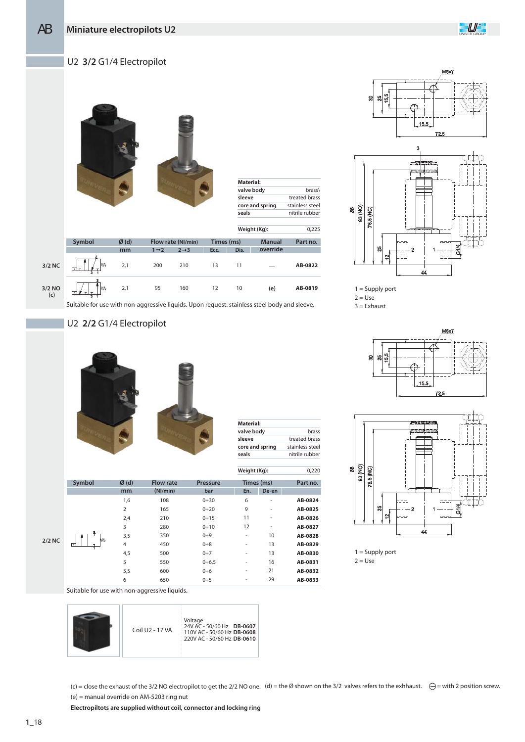

#### U2 **3/2** G1/4 Electropilot

|               |             |      |                   |                    |            | <b>Material:</b><br>sleeve<br>seals | valve body<br>core and spring | brass\<br>treated brass<br>stainless steel<br>nitrile rubber |
|---------------|-------------|------|-------------------|--------------------|------------|-------------------------------------|-------------------------------|--------------------------------------------------------------|
|               |             |      |                   |                    |            |                                     | Weight (Kg):                  | 0,225                                                        |
|               | Symbol      | Ø(d) |                   | Flow rate (NI/min) | Times (ms) |                                     | <b>Manual</b>                 | Part no.                                                     |
|               |             | mm   | $1 \rightarrow 2$ | $2 \rightarrow 3$  | Ecc.       | Dis.                                | override                      |                                                              |
| 3/2 NC        | M٧<br>171 т | 2,1  | 200               | 210                | 13         | 11                                  |                               | AB-0822                                                      |
| 3/2 NO<br>(c) | M٧          | 2,1  | 95                | 160                | 12         | $10$                                | (e)                           | AB-0819                                                      |
|               |             |      |                   |                    |            |                                     |                               |                                                              |

Suitable for use with non-aggressive liquids. Upon request: stainless steel body and sleeve.

## U2 **2/2** G1/4 Electropilot



| Material:       |                 |
|-----------------|-----------------|
| valve body      | hrass           |
| sleeve          | treated brass   |
| core and spring | stainless steel |
| seals           | nitrile rubber  |
|                 |                 |

0,220

**Weight (Kg):**

|           | Symbol  | Ø(d)           | <b>Flow rate</b> | <b>Pressure</b> |                          | Times (ms)               | Part no. |
|-----------|---------|----------------|------------------|-----------------|--------------------------|--------------------------|----------|
|           |         | mm             | (Nl/min)         | bar             | En.                      | De-en                    |          |
|           |         | 1,6            | 108              | $0 + 30$        | 6                        | $\overline{\phantom{a}}$ | AB-0824  |
|           |         | $\overline{2}$ | 165              | $0 + 20$        | 9                        | $\overline{\phantom{a}}$ | AB-0825  |
|           |         | 2,4            | 210              | 0:15            | 11                       | $\overline{\phantom{a}}$ | AB-0826  |
|           |         | 3              | 280              | $0 \div 10$     | 12                       | $\overline{\phantom{0}}$ | AB-0827  |
|           | 2<br>M٨ | 3,5            | 350              | $0 + 9$         | $\overline{\phantom{a}}$ | 10                       | AB-0828  |
| <b>NC</b> | 17      | 4              | 450              | $0\div 8$       | $\overline{\phantom{a}}$ | 13                       | AB-0829  |
|           |         | 4,5            | 500              | $0+7$           | $\overline{\phantom{a}}$ | 13                       | AB-0830  |
|           |         | 5              | 550              | $0 + 6.5$       | $\overline{\phantom{a}}$ | 16                       | AB-0831  |
|           |         | 5,5            | 600              | $0\div 6$       | $\overline{\phantom{a}}$ | 21                       | AB-0832  |
|           |         | 6              | 650              | $0 \div 5$      | $\overline{\phantom{a}}$ | 29                       | AB-0833  |

Suitable for use with non-aggressive liquids.

|--|

(c) = close the exhaust of the 3/2 NO electropilot to get the 2/2 NO one. (d) = the Ø shown on the 3/2 valves refers to the exhhaust.  $\ominus$  = with 2 position screw. (e) = manual override on AM-5203 ring nut





 $1 =$  Supply port

 $2 = Use$ 

 $3 =$ Exhaust





 $1 =$  Supply port  $2 = Use$ 

**2/2 NC**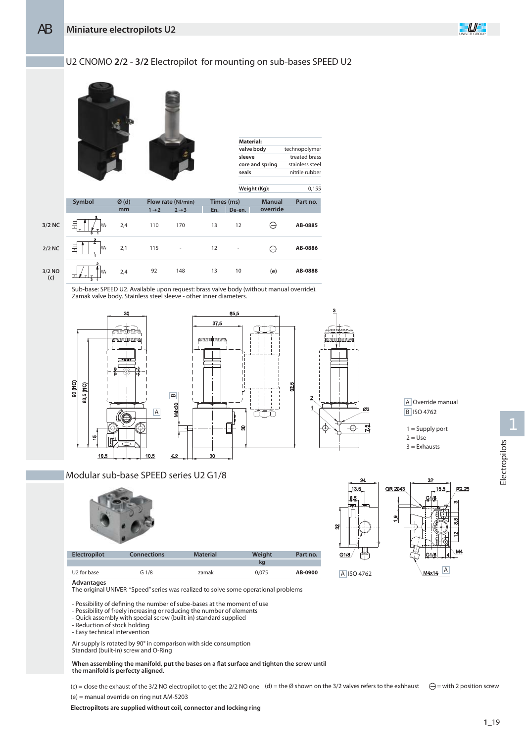**3/2 NC**

**2/2 NC**

### U2 CNOMO **2/2 - 3/2** Electropilot for mounting on sub-bases SPEED U2



92 13 10 148 **(e) 3/2 NO (c)** 2,4  $\overline{ }$ 

Sub-base: SPEED U2. Available upon request: brass valve body (without manual override). Zamak valve body. Stainless steel sleeve - other inner diameters.



#### Modular sub-base SPEED series U2 G1/8



| <b>Electropilot</b>     | <b>Connections</b> | <b>Material</b> | Weight | Part no. |
|-------------------------|--------------------|-----------------|--------|----------|
|                         |                    |                 | ka     |          |
| U <sub>2</sub> for base | G1/8               | zamak           | 0.075  | AB-0900  |

**Advantages**

The original UNIVER "Speed" series was realized to solve some operational problems

- Possibility of defining the number of sube-bases at the moment of use
- Possibility of freely increasing or reducing the number of elements
- Quick assembly with special screw (built-in) standard supplied
- Reduction of stock holding
- Easy technical intervention

Air supply is rotated by 90° in comparison with side consumption Standard (built-in) screw and O-Ring

#### When assembling the manifold, put the bases on a flat surface and tighten the screw until **the manifold is perfecty aligned.**

(c) = close the exhaust of the 3/2 NO electropilot to get the 2/2 NO one (d) = the Ø shown on the 3/2 valves refers to the exhhaust  $\ominus$  = with 2 position screw (e) = manual override on ring nut AM-5203

**AB-0888**

**Electropiltots are supplied without coil, connector and locking ring**



A Override manual

 $1 =$  Supply port

 $2 = Use$  $3 =$ Exhausts